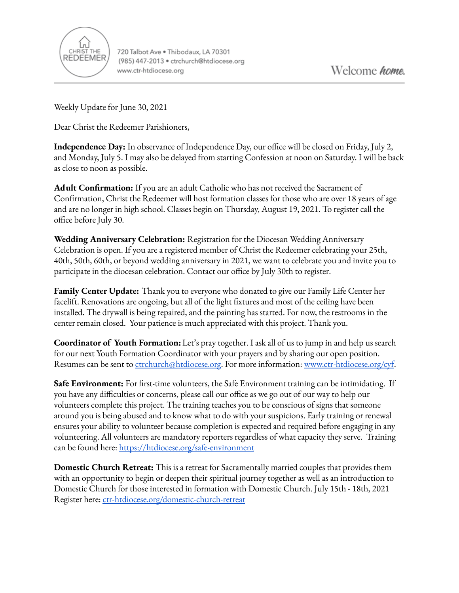

720 Talbot Ave . Thibodaux, LA 70301 (985) 447-2013 · ctrchurch@htdiocese.org www.ctr-htdiocese.org

Weekly Update for June 30, 2021

Dear Christ the Redeemer Parishioners,

**Independence Day:** In observance of Independence Day, our office will be closed on Friday, July 2, and Monday, July 5. I may also be delayed from starting Confession at noon on Saturday. I will be back as close to noon as possible.

**Adult Confirmation:** If you are an adult Catholic who has not received the Sacrament of Confirmation, Christ the Redeemer will host formation classes for those who are over 18 years of age and are no longer in high school. Classes begin on Thursday, August 19, 2021. To register call the office before July 30.

**Wedding Anniversary Celebration:** Registration for the Diocesan Wedding Anniversary Celebration is open. If you are a registered member of Christ the Redeemer celebrating your 25th, 40th, 50th, 60th, or beyond wedding anniversary in 2021, we want to celebrate you and invite you to participate in the diocesan celebration. Contact our office by July 30th to register.

**Family Center Update:** Thank you to everyone who donated to give our Family Life Center her facelift. Renovations are ongoing, but all of the light fixtures and most of the ceiling have been installed. The drywall is being repaired, and the painting has started. For now, the restrooms in the center remain closed. Your patience is much appreciated with this project. Thank you.

**Coordinator of Youth Formation:**Let's pray together. I ask all of us to jump in and help us search for our next Youth Formation Coordinator with your prayers and by sharing our open position. Resumes can be sent to [ctrchurch@htdiocese.org.](mailto:ctrchurch@htdiocese.org) For more information: [www.ctr-htdiocese.org/cyf.](http://www.ctr-htdiocese.org/cyf)

**Safe Environment:** For first-time volunteers, the Safe Environment training can be intimidating. If you have any difficulties or concerns, please call our office as we go out of our way to help our volunteers complete this project. The training teaches you to be conscious of signs that someone around you is being abused and to know what to do with your suspicions. Early training or renewal ensures your ability to volunteer because completion is expected and required before engaging in any volunteering. All volunteers are mandatory reporters regardless of what capacity they serve. Training can be found here: <https://htdiocese.org/safe-environment>

**Domestic Church Retreat:** This is a retreat for Sacramentally married couples that provides them with an opportunity to begin or deepen their spiritual journey together as well as an introduction to Domestic Church for those interested in formation with Domestic Church. July 15th - 18th, 2021 Register here: [ctr-htdiocese.org/domestic-church-retreat](https://www.ctr-htdiocese.org/domestic-church-retreat)